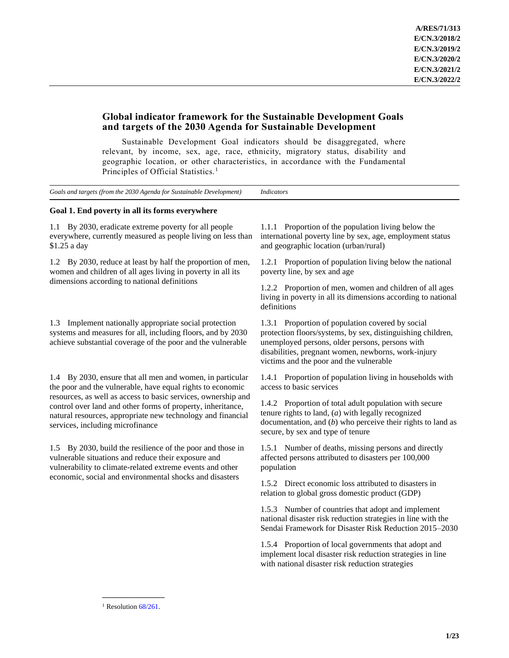# **Global indicator framework for the Sustainable Development Goals and targets of the 2030 Agenda for Sustainable Development**

Sustainable Development Goal indicators should be disaggregated, where relevant, by income, sex, age, race, ethnicity, migratory status, disability and geographic location, or other characteristics, in accordance with the Fundamental Principles of Official Statistics.<sup>1</sup>

*Goals and targets (from the 2030 Agenda for Sustainable Development) Indicators*

# **Goal 1. End poverty in all its forms everywhere**

1.1 By 2030, eradicate extreme poverty for all people everywhere, currently measured as people living on less than \$1.25 a day

1.2 By 2030, reduce at least by half the proportion of men, women and children of all ages living in poverty in all its dimensions according to national definitions

1.3 Implement nationally appropriate social protection systems and measures for all, including floors, and by 2030 achieve substantial coverage of the poor and the vulnerable

1.4 By 2030, ensure that all men and women, in particular the poor and the vulnerable, have equal rights to economic resources, as well as access to basic services, ownership and control over land and other forms of property, inheritance, natural resources, appropriate new technology and financial services, including microfinance

1.5 By 2030, build the resilience of the poor and those in vulnerable situations and reduce their exposure and vulnerability to climate-related extreme events and other economic, social and environmental shocks and disasters

1.1.1 Proportion of the population living below the international poverty line by sex, age, employment status and geographic location (urban/rural)

1.2.1 Proportion of population living below the national poverty line, by sex and age

1.2.2 Proportion of men, women and children of all ages living in poverty in all its dimensions according to national definitions

1.3.1 Proportion of population covered by social protection floors/systems, by sex, distinguishing children, unemployed persons, older persons, persons with disabilities, pregnant women, newborns, work-injury victims and the poor and the vulnerable

1.4.1 Proportion of population living in households with access to basic services

1.4.2 Proportion of total adult population with secure tenure rights to land, (*a*) with legally recognized documentation, and (*b*) who perceive their rights to land as secure, by sex and type of tenure

1.5.1 Number of deaths, missing persons and directly affected persons attributed to disasters per 100,000 population

1.5.2 Direct economic loss attributed to disasters in relation to global gross domestic product (GDP)

1.5.3 Number of countries that adopt and implement national disaster risk reduction strategies in line with the Sendai Framework for Disaster Risk Reduction 2015–2030

1.5.4 Proportion of local governments that adopt and implement local disaster risk reduction strategies in line with national disaster risk reduction strategies

**\_\_\_\_\_\_\_\_\_\_\_\_\_\_\_** <sup>1</sup> Resolution  $68/261$ .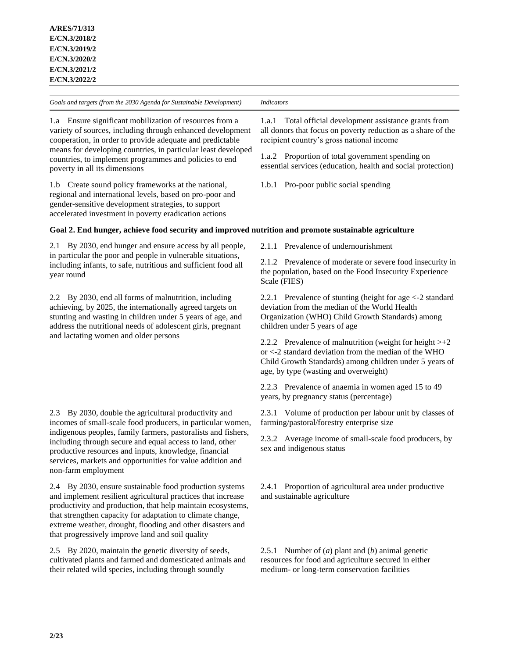1.a Ensure significant mobilization of resources from a variety of sources, including through enhanced development cooperation, in order to provide adequate and predictable means for developing countries, in particular least developed countries, to implement programmes and policies to end poverty in all its dimensions

1.b Create sound policy frameworks at the national, regional and international levels, based on pro-poor and gender-sensitive development strategies, to support accelerated investment in poverty eradication actions

1.a.1 Total official development assistance grants from all donors that focus on poverty reduction as a share of the recipient country's gross national income

1.a.2 Proportion of total government spending on essential services (education, health and social protection)

1.b.1 Pro-poor public social spending

# **Goal 2. End hunger, achieve food security and improved nutrition and promote sustainable agriculture**

2.1 By 2030, end hunger and ensure access by all people, in particular the poor and people in vulnerable situations, including infants, to safe, nutritious and sufficient food all year round

2.2 By 2030, end all forms of malnutrition, including achieving, by 2025, the internationally agreed targets on stunting and wasting in children under 5 years of age, and address the nutritional needs of adolescent girls, pregnant and lactating women and older persons

2.3 By 2030, double the agricultural productivity and incomes of small-scale food producers, in particular women, indigenous peoples, family farmers, pastoralists and fishers, including through secure and equal access to land, other productive resources and inputs, knowledge, financial services, markets and opportunities for value addition and non-farm employment

2.4 By 2030, ensure sustainable food production systems and implement resilient agricultural practices that increase productivity and production, that help maintain ecosystems, that strengthen capacity for adaptation to climate change, extreme weather, drought, flooding and other disasters and that progressively improve land and soil quality

2.5 By 2020, maintain the genetic diversity of seeds, cultivated plants and farmed and domesticated animals and their related wild species, including through soundly

2.1.1 Prevalence of undernourishment

2.1.2 Prevalence of moderate or severe food insecurity in the population, based on the Food Insecurity Experience Scale (FIES)

2.2.1 Prevalence of stunting (height for age <-2 standard deviation from the median of the World Health Organization (WHO) Child Growth Standards) among children under 5 years of age

2.2.2 Prevalence of malnutrition (weight for height  $> +2$ or <-2 standard deviation from the median of the WHO Child Growth Standards) among children under 5 years of age, by type (wasting and overweight)

2.2.3 Prevalence of anaemia in women aged 15 to 49 years, by pregnancy status (percentage)

2.3.1 Volume of production per labour unit by classes of farming/pastoral/forestry enterprise size

2.3.2 Average income of small-scale food producers, by sex and indigenous status

2.4.1 Proportion of agricultural area under productive and sustainable agriculture

2.5.1 Number of (*a*) plant and (*b*) animal genetic resources for food and agriculture secured in either medium- or long-term conservation facilities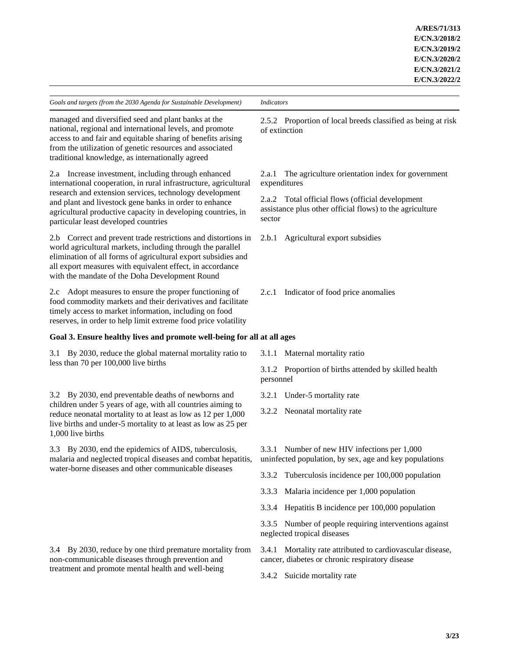managed and diversified seed and plant banks at the national, regional and international levels, and promote access to and fair and equitable sharing of benefits arising from the utilization of genetic resources and associated traditional knowledge, as internationally agreed

2.a Increase investment, including through enhanced international cooperation, in rural infrastructure, agricultural research and extension services, technology development and plant and livestock gene banks in order to enhance agricultural productive capacity in developing countries, in particular least developed countries

2.b Correct and prevent trade restrictions and distortions in world agricultural markets, including through the parallel elimination of all forms of agricultural export subsidies and all export measures with equivalent effect, in accordance with the mandate of the Doha Development Round

2.c Adopt measures to ensure the proper functioning of food commodity markets and their derivatives and facilitate timely access to market information, including on food reserves, in order to help limit extreme food price volatility

# **Goal 3. Ensure healthy lives and promote well-being for all at all ages**

3.1 By 2030, reduce the global maternal mortality ratio to less than 70 per 100,000 live births

3.2 By 2030, end preventable deaths of newborns and children under 5 years of age, with all countries aiming to reduce neonatal mortality to at least as low as 12 per 1,000 live births and under-5 mortality to at least as low as 25 per 1,000 live births

3.3 By 2030, end the epidemics of AIDS, tuberculosis, malaria and neglected tropical diseases and combat hepatitis, water-borne diseases and other communicable diseases

3.4 By 2030, reduce by one third premature mortality from non-communicable diseases through prevention and treatment and promote mental health and well-being

2.5.2 Proportion of local breeds classified as being at risk of extinction

2.a.1 The agriculture orientation index for government expenditures

2.a.2 Total official flows (official development assistance plus other official flows) to the agriculture sector

2.b.1 Agricultural export subsidies

2.c.1 Indicator of food price anomalies

3.1.1 Maternal mortality ratio

3.1.2 Proportion of births attended by skilled health personnel

3.2.1 Under-5 mortality rate

3.2.2 Neonatal mortality rate

3.3.1 Number of new HIV infections per 1,000 uninfected population, by sex, age and key populations

3.3.2 Tuberculosis incidence per 100,000 population

3.3.3 Malaria incidence per 1,000 population

3.3.4 Hepatitis B incidence per 100,000 population

3.3.5 Number of people requiring interventions against neglected tropical diseases

3.4.1 Mortality rate attributed to cardiovascular disease, cancer, diabetes or chronic respiratory disease

3.4.2 Suicide mortality rate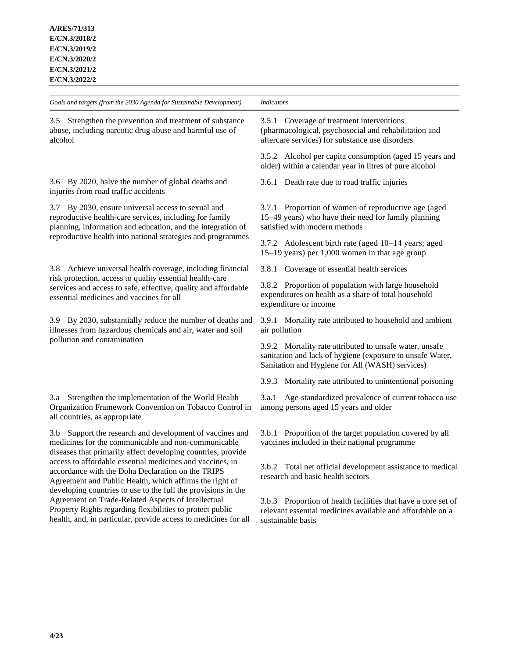*Goals and targets (from the 2030 Agenda for Sustainable Development) Indicators* 3.5 Strengthen the prevention and treatment of substance abuse, including narcotic drug abuse and harmful use of alcohol 3.5.1 Coverage of treatment interventions (pharmacological, psychosocial and rehabilitation and aftercare services) for substance use disorders 3.5.2 Alcohol per capita consumption (aged 15 years and older) within a calendar year in litres of pure alcohol 3.6 By 2020, halve the number of global deaths and injuries from road traffic accidents 3.6.1 Death rate due to road traffic injuries 3.7 By 2030, ensure universal access to sexual and reproductive health-care services, including for family planning, information and education, and the integration of reproductive health into national strategies and programmes 3.7.1 Proportion of women of reproductive age (aged 15–49 years) who have their need for family planning satisfied with modern methods 3.7.2 Adolescent birth rate (aged 10–14 years; aged 15–19 years) per 1,000 women in that age group 3.8 Achieve universal health coverage, including financial risk protection, access to quality essential health-care services and access to safe, effective, quality and affordable essential medicines and vaccines for all 3.8.1 Coverage of essential health services 3.8.2 Proportion of population with large household expenditures on health as a share of total household expenditure or income 3.9 By 2030, substantially reduce the number of deaths and illnesses from hazardous chemicals and air, water and soil pollution and contamination 3.9.1 Mortality rate attributed to household and ambient air pollution 3.9.2 Mortality rate attributed to unsafe water, unsafe sanitation and lack of hygiene (exposure to unsafe Water, Sanitation and Hygiene for All (WASH) services) 3.9.3 Mortality rate attributed to unintentional poisoning 3.a Strengthen the implementation of the World Health Organization Framework Convention on Tobacco Control in all countries, as appropriate 3.a.1 Age-standardized prevalence of current tobacco use among persons aged 15 years and older 3.b Support the research and development of vaccines and medicines for the communicable and non-communicable diseases that primarily affect developing countries, provide access to affordable essential medicines and vaccines, in accordance with the Doha Declaration on the TRIPS Agreement and Public Health, which affirms the right of developing countries to use to the full the provisions in the Agreement on Trade-Related Aspects of Intellectual Property Rights regarding flexibilities to protect public health, and, in particular, provide access to medicines for all 3.b.1 Proportion of the target population covered by all vaccines included in their national programme 3.b.2 Total net official development assistance to medical research and basic health sectors 3.b.3 Proportion of health facilities that have a core set of relevant essential medicines available and affordable on a sustainable basis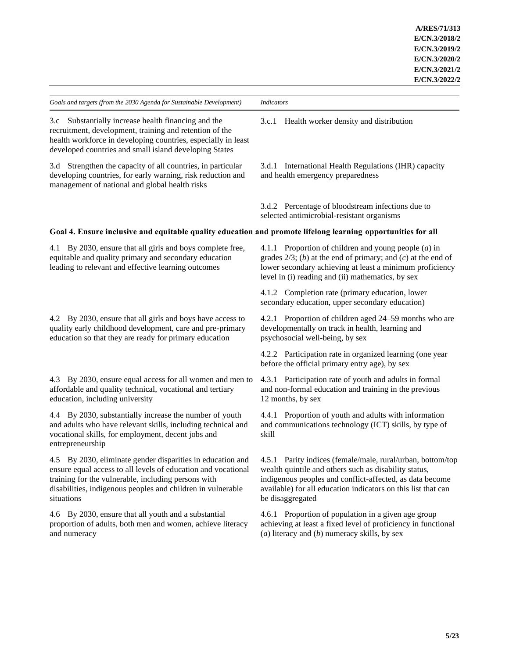| Goals and targets (from the 2030 Agenda for Sustainable Development)                                                                                                                                                                                            | <b>Indicators</b>                                                                                                                                                                                                                                                    |
|-----------------------------------------------------------------------------------------------------------------------------------------------------------------------------------------------------------------------------------------------------------------|----------------------------------------------------------------------------------------------------------------------------------------------------------------------------------------------------------------------------------------------------------------------|
| 3.c Substantially increase health financing and the<br>recruitment, development, training and retention of the<br>health workforce in developing countries, especially in least<br>developed countries and small island developing States                       | Health worker density and distribution<br>3.c.1                                                                                                                                                                                                                      |
| 3.d Strengthen the capacity of all countries, in particular<br>developing countries, for early warning, risk reduction and<br>management of national and global health risks                                                                                    | 3.d.1 International Health Regulations (IHR) capacity<br>and health emergency preparedness                                                                                                                                                                           |
|                                                                                                                                                                                                                                                                 | 3.d.2 Percentage of bloodstream infections due to<br>selected antimicrobial-resistant organisms                                                                                                                                                                      |
| Goal 4. Ensure inclusive and equitable quality education and promote lifelong learning opportunities for all                                                                                                                                                    |                                                                                                                                                                                                                                                                      |
| By 2030, ensure that all girls and boys complete free,<br>4.1<br>equitable and quality primary and secondary education<br>leading to relevant and effective learning outcomes                                                                                   | 4.1.1 Proportion of children and young people $(a)$ in<br>grades $2/3$ ; (b) at the end of primary; and (c) at the end of<br>lower secondary achieving at least a minimum proficiency<br>level in (i) reading and (ii) mathematics, by sex                           |
|                                                                                                                                                                                                                                                                 | 4.1.2 Completion rate (primary education, lower<br>secondary education, upper secondary education)                                                                                                                                                                   |
| By 2030, ensure that all girls and boys have access to<br>4.2<br>quality early childhood development, care and pre-primary<br>education so that they are ready for primary education                                                                            | 4.2.1 Proportion of children aged 24–59 months who are<br>developmentally on track in health, learning and<br>psychosocial well-being, by sex                                                                                                                        |
|                                                                                                                                                                                                                                                                 | 4.2.2 Participation rate in organized learning (one year<br>before the official primary entry age), by sex                                                                                                                                                           |
| 4.3 By 2030, ensure equal access for all women and men to<br>affordable and quality technical, vocational and tertiary<br>education, including university                                                                                                       | 4.3.1 Participation rate of youth and adults in formal<br>and non-formal education and training in the previous<br>12 months, by sex                                                                                                                                 |
| 4.4 By 2030, substantially increase the number of youth<br>and adults who have relevant skills, including technical and<br>vocational skills, for employment, decent jobs and<br>entrepreneurship                                                               | 4.4.1 Proportion of youth and adults with information<br>and communications technology (ICT) skills, by type of<br>skill                                                                                                                                             |
| 4.5 By 2030, eliminate gender disparities in education and<br>ensure equal access to all levels of education and vocational<br>training for the vulnerable, including persons with<br>disabilities, indigenous peoples and children in vulnerable<br>situations | 4.5.1 Parity indices (female/male, rural/urban, bottom/top<br>wealth quintile and others such as disability status,<br>indigenous peoples and conflict-affected, as data become<br>available) for all education indicators on this list that can<br>be disaggregated |
| 4.6 By 2030, ensure that all youth and a substantial<br>proportion of adults, both men and women, achieve literacy<br>and numeracy                                                                                                                              | 4.6.1 Proportion of population in a given age group<br>achieving at least a fixed level of proficiency in functional<br>(a) literacy and (b) numeracy skills, by sex                                                                                                 |
|                                                                                                                                                                                                                                                                 |                                                                                                                                                                                                                                                                      |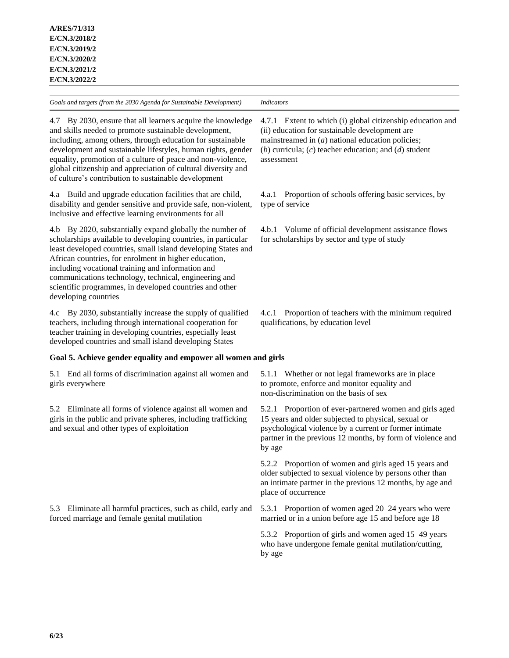*Goals and targets (from the 2030 Agenda for Sustainable Development) Indicators* 4.7 By 2030, ensure that all learners acquire the knowledge and skills needed to promote sustainable development, including, among others, through education for sustainable development and sustainable lifestyles, human rights, gender equality, promotion of a culture of peace and non-violence, global citizenship and appreciation of cultural diversity and of culture's contribution to sustainable development 4.7.1 Extent to which (i) global citizenship education and (ii) education for sustainable development are mainstreamed in (*a*) national education policies; (*b*) curricula; (*c*) teacher education; and (*d*) student assessment 4.a Build and upgrade education facilities that are child, disability and gender sensitive and provide safe, non-violent, inclusive and effective learning environments for all 4.a.1 Proportion of schools offering basic services, by type of service 4.b By 2020, substantially expand globally the number of scholarships available to developing countries, in particular least developed countries, small island developing States and African countries, for enrolment in higher education, including vocational training and information and communications technology, technical, engineering and scientific programmes, in developed countries and other developing countries 4.b.1 Volume of official development assistance flows for scholarships by sector and type of study 4.c By 2030, substantially increase the supply of qualified teachers, including through international cooperation for teacher training in developing countries, especially least developed countries and small island developing States 4.c.1 Proportion of teachers with the minimum required qualifications, by education level **Goal 5. Achieve gender equality and empower all women and girls** 5.1 End all forms of discrimination against all women and girls everywhere 5.1.1 Whether or not legal frameworks are in place to promote, enforce and monitor equality and non-discrimination on the basis of sex 5.2 Eliminate all forms of violence against all women and girls in the public and private spheres, including trafficking and sexual and other types of exploitation 5.2.1 Proportion of ever-partnered women and girls aged 15 years and older subjected to physical, sexual or psychological violence by a current or former intimate partner in the previous 12 months, by form of violence and by age 5.2.2 Proportion of women and girls aged 15 years and older subjected to sexual violence by persons other than an intimate partner in the previous 12 months, by age and place of occurrence 5.3 Eliminate all harmful practices, such as child, early and forced marriage and female genital mutilation 5.3.1 Proportion of women aged 20–24 years who were married or in a union before age 15 and before age 18 5.3.2 Proportion of girls and women aged 15–49 years who have undergone female genital mutilation/cutting, by age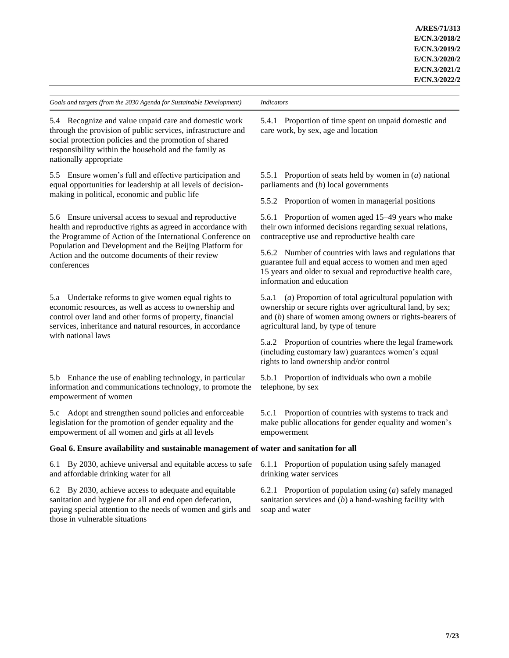5.4 Recognize and value unpaid care and domestic work through the provision of public services, infrastructure and social protection policies and the promotion of shared responsibility within the household and the family as nationally appropriate

5.5 Ensure women's full and effective participation and equal opportunities for leadership at all levels of decisionmaking in political, economic and public life

5.6 Ensure universal access to sexual and reproductive health and reproductive rights as agreed in accordance with the Programme of Action of the International Conference on Population and Development and the Beijing Platform for Action and the outcome documents of their review conferences

5.a Undertake reforms to give women equal rights to economic resources, as well as access to ownership and control over land and other forms of property, financial services, inheritance and natural resources, in accordance with national laws

5.b Enhance the use of enabling technology, in particular information and communications technology, to promote the empowerment of women

5.c Adopt and strengthen sound policies and enforceable legislation for the promotion of gender equality and the empowerment of all women and girls at all levels

5.4.1 Proportion of time spent on unpaid domestic and care work, by sex, age and location

5.5.1 Proportion of seats held by women in (*a*) national parliaments and (*b*) local governments

5.5.2 Proportion of women in managerial positions

5.6.1 Proportion of women aged 15–49 years who make their own informed decisions regarding sexual relations, contraceptive use and reproductive health care

5.6.2 Number of countries with laws and regulations that guarantee full and equal access to women and men aged 15 years and older to sexual and reproductive health care, information and education

5.a.1 (*a*) Proportion of total agricultural population with ownership or secure rights over agricultural land, by sex; and (*b*) share of women among owners or rights-bearers of agricultural land, by type of tenure

5.a.2 Proportion of countries where the legal framework (including customary law) guarantees women's equal rights to land ownership and/or control

5.b.1 Proportion of individuals who own a mobile telephone, by sex

5.c.1 Proportion of countries with systems to track and make public allocations for gender equality and women's empowerment

# **Goal 6. Ensure availability and sustainable management of water and sanitation for all**

6.1 By 2030, achieve universal and equitable access to safe and affordable drinking water for all

6.2 By 2030, achieve access to adequate and equitable sanitation and hygiene for all and end open defecation, paying special attention to the needs of women and girls and those in vulnerable situations

6.1.1 Proportion of population using safely managed drinking water services

6.2.1 Proportion of population using (*a*) safely managed sanitation services and (*b*) a hand-washing facility with soap and water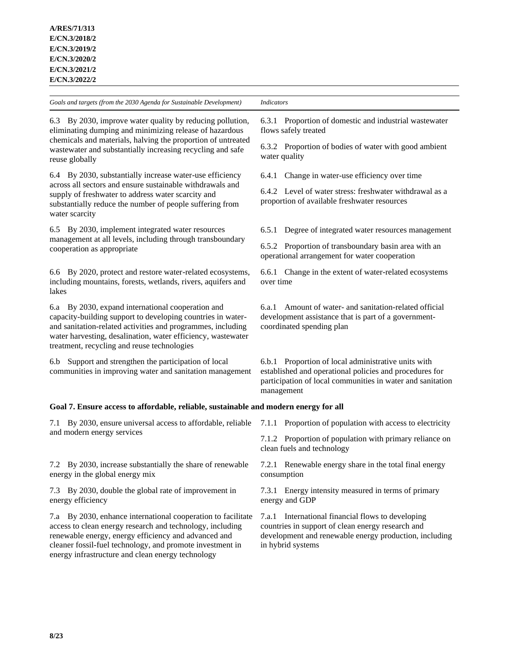reuse globally

*Goals and targets (from the 2030 Agenda for Sustainable Development) Indicators*

6.3 By 2030, improve water quality by reducing pollution, eliminating dumping and minimizing release of hazardous chemicals and materials, halving the proportion of untreated wastewater and substantially increasing recycling and safe

6.4 By 2030, substantially increase water-use efficiency across all sectors and ensure sustainable withdrawals and supply of freshwater to address water scarcity and substantially reduce the number of people suffering from water scarcity

6.5 By 2030, implement integrated water resources management at all levels, including through transboundary cooperation as appropriate

6.6 By 2020, protect and restore water-related ecosystems, including mountains, forests, wetlands, rivers, aquifers and lakes

6.a By 2030, expand international cooperation and capacity-building support to developing countries in waterand sanitation-related activities and programmes, including water harvesting, desalination, water efficiency, wastewater treatment, recycling and reuse technologies

6.b Support and strengthen the participation of local communities in improving water and sanitation management

**Goal 7. Ensure access to affordable, reliable, sustainable and modern energy for all**

7.1 By 2030, ensure universal access to affordable, reliable and modern energy services

7.2 By 2030, increase substantially the share of renewable energy in the global energy mix

7.3 By 2030, double the global rate of improvement in energy efficiency

7.a By 2030, enhance international cooperation to facilitate access to clean energy research and technology, including renewable energy, energy efficiency and advanced and cleaner fossil-fuel technology, and promote investment in energy infrastructure and clean energy technology

6.3.1 Proportion of domestic and industrial wastewater flows safely treated

6.3.2 Proportion of bodies of water with good ambient water quality

6.4.1 Change in water-use efficiency over time

6.4.2 Level of water stress: freshwater withdrawal as a proportion of available freshwater resources

6.5.1 Degree of integrated water resources management

6.5.2 Proportion of transboundary basin area with an operational arrangement for water cooperation

6.6.1 Change in the extent of water-related ecosystems over time

6.a.1 Amount of water- and sanitation-related official development assistance that is part of a governmentcoordinated spending plan

6.b.1 Proportion of local administrative units with established and operational policies and procedures for participation of local communities in water and sanitation management

7.1.1 Proportion of population with access to electricity

7.1.2 Proportion of population with primary reliance on clean fuels and technology

7.2.1 Renewable energy share in the total final energy consumption

7.3.1 Energy intensity measured in terms of primary energy and GDP

7.a.1 International financial flows to developing countries in support of clean energy research and development and renewable energy production, including in hybrid systems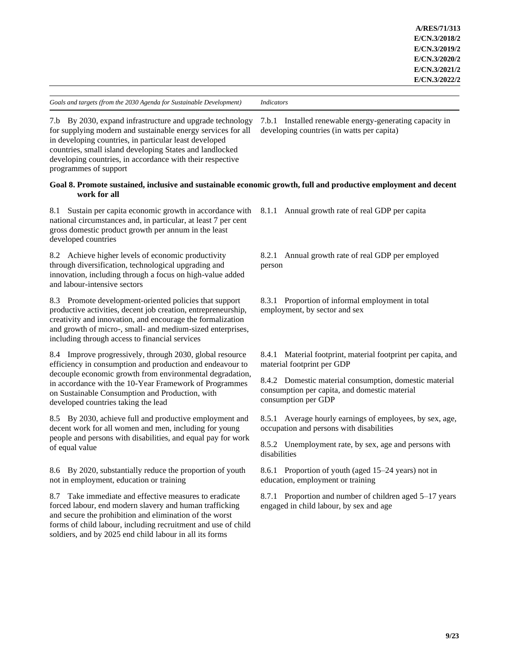7.b.1 Installed renewable energy-generating capacity in developing countries (in watts per capita)

7.b By 2030, expand infrastructure and upgrade technology for supplying modern and sustainable energy services for all in developing countries, in particular least developed countries, small island developing States and landlocked developing countries, in accordance with their respective programmes of support

# **Goal 8. Promote sustained, inclusive and sustainable economic growth, full and productive employment and decent work for all**

8.1 Sustain per capita economic growth in accordance with national circumstances and, in particular, at least 7 per cent gross domestic product growth per annum in the least developed countries

8.2 Achieve higher levels of economic productivity through diversification, technological upgrading and innovation, including through a focus on high-value added and labour-intensive sectors

8.3 Promote development-oriented policies that support productive activities, decent job creation, entrepreneurship, creativity and innovation, and encourage the formalization and growth of micro-, small- and medium-sized enterprises, including through access to financial services

8.4 Improve progressively, through 2030, global resource efficiency in consumption and production and endeavour to decouple economic growth from environmental degradation, in accordance with the 10-Year Framework of Programmes on Sustainable Consumption and Production, with developed countries taking the lead

8.5 By 2030, achieve full and productive employment and decent work for all women and men, including for young people and persons with disabilities, and equal pay for work of equal value

8.6 By 2020, substantially reduce the proportion of youth not in employment, education or training

8.7 Take immediate and effective measures to eradicate forced labour, end modern slavery and human trafficking and secure the prohibition and elimination of the worst forms of child labour, including recruitment and use of child soldiers, and by 2025 end child labour in all its forms

8.1.1 Annual growth rate of real GDP per capita

8.2.1 Annual growth rate of real GDP per employed person

8.3.1 Proportion of informal employment in total employment, by sector and sex

8.4.1 Material footprint, material footprint per capita, and material footprint per GDP

8.4.2 Domestic material consumption, domestic material consumption per capita, and domestic material consumption per GDP

8.5.1 Average hourly earnings of employees, by sex, age, occupation and persons with disabilities

8.5.2 Unemployment rate, by sex, age and persons with disabilities

8.6.1 Proportion of youth (aged 15–24 years) not in education, employment or training

8.7.1 Proportion and number of children aged 5–17 years engaged in child labour, by sex and age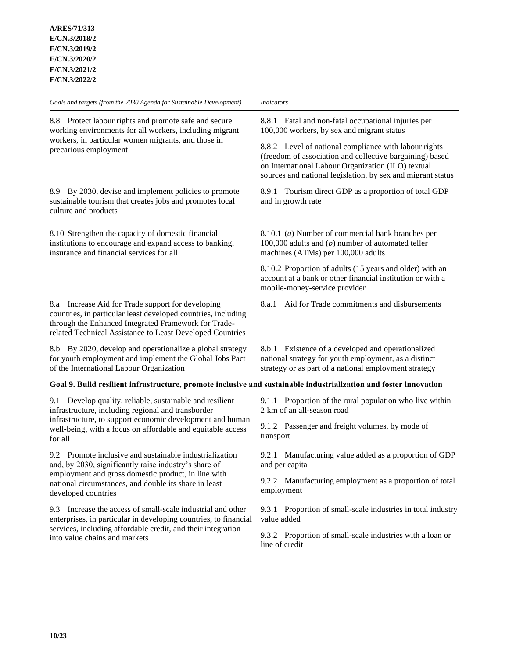| Goals and targets (from the 2030 Agenda for Sustainable Development)                                                                                                                                                                                    | <b>Indicators</b>                                                                                                                                                                                                                      |
|---------------------------------------------------------------------------------------------------------------------------------------------------------------------------------------------------------------------------------------------------------|----------------------------------------------------------------------------------------------------------------------------------------------------------------------------------------------------------------------------------------|
| 8.8 Protect labour rights and promote safe and secure<br>working environments for all workers, including migrant<br>workers, in particular women migrants, and those in<br>precarious employment                                                        | 8.8.1 Fatal and non-fatal occupational injuries per<br>100,000 workers, by sex and migrant status                                                                                                                                      |
|                                                                                                                                                                                                                                                         | 8.8.2 Level of national compliance with labour rights<br>(freedom of association and collective bargaining) based<br>on International Labour Organization (ILO) textual<br>sources and national legislation, by sex and migrant status |
| 8.9 By 2030, devise and implement policies to promote<br>sustainable tourism that creates jobs and promotes local<br>culture and products                                                                                                               | 8.9.1 Tourism direct GDP as a proportion of total GDP<br>and in growth rate                                                                                                                                                            |
| 8.10 Strengthen the capacity of domestic financial<br>institutions to encourage and expand access to banking,<br>insurance and financial services for all                                                                                               | 8.10.1 (a) Number of commercial bank branches per<br>100,000 adults and $(b)$ number of automated teller<br>machines (ATMs) per 100,000 adults                                                                                         |
|                                                                                                                                                                                                                                                         | 8.10.2 Proportion of adults (15 years and older) with an<br>account at a bank or other financial institution or with a<br>mobile-money-service provider                                                                                |
| 8.a Increase Aid for Trade support for developing<br>countries, in particular least developed countries, including<br>through the Enhanced Integrated Framework for Trade-<br>related Technical Assistance to Least Developed Countries                 | Aid for Trade commitments and disbursements<br>8.a.1                                                                                                                                                                                   |
| 8.b By 2020, develop and operationalize a global strategy<br>for youth employment and implement the Global Jobs Pact<br>of the International Labour Organization                                                                                        | 8.b.1 Existence of a developed and operationalized<br>national strategy for youth employment, as a distinct<br>strategy or as part of a national employment strategy                                                                   |
| Goal 9. Build resilient infrastructure, promote inclusive and sustainable industrialization and foster innovation                                                                                                                                       |                                                                                                                                                                                                                                        |
| 9.1 Develop quality, reliable, sustainable and resilient<br>infrastructure, including regional and transborder<br>infrastructure, to support economic development and human<br>well-being, with a focus on affordable and equitable access<br>for all   | 9.1.1 Proportion of the rural population who live within<br>2 km of an all-season road                                                                                                                                                 |
|                                                                                                                                                                                                                                                         | 9.1.2 Passenger and freight volumes, by mode of<br>transport                                                                                                                                                                           |
| 9.2 Promote inclusive and sustainable industrialization<br>and, by 2030, significantly raise industry's share of<br>employment and gross domestic product, in line with<br>national circumstances, and double its share in least<br>developed countries | 9.2.1 Manufacturing value added as a proportion of GDP<br>and per capita                                                                                                                                                               |
|                                                                                                                                                                                                                                                         | 9.2.2 Manufacturing employment as a proportion of total<br>employment                                                                                                                                                                  |
| 9.3 Increase the access of small-scale industrial and other<br>enterprises, in particular in developing countries, to financial<br>services, including affordable credit, and their integration                                                         | 9.3.1 Proportion of small-scale industries in total industry<br>value added                                                                                                                                                            |
|                                                                                                                                                                                                                                                         |                                                                                                                                                                                                                                        |

9.3.2 Proportion of small-scale industries with a loan or line of credit

into value chains and markets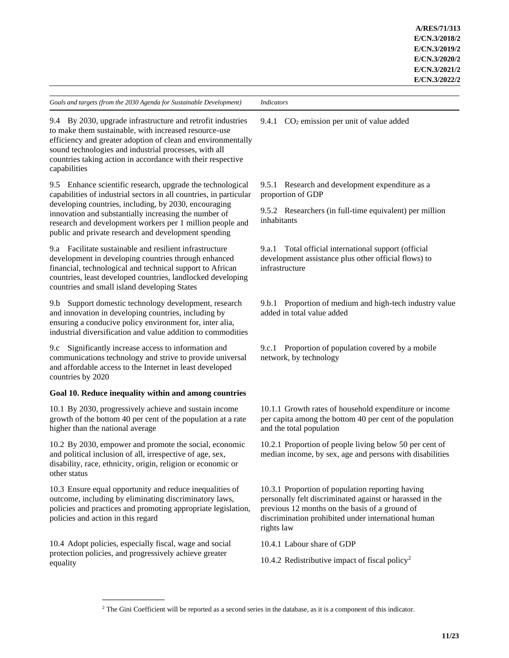9.4 By 2030, upgrade infrastructure and retrofit industries to make them sustainable, with increased resource-use efficiency and greater adoption of clean and environmentally sound technologies and industrial processes, with all countries taking action in accordance with their respective capabilities

9.5 Enhance scientific research, upgrade the technological capabilities of industrial sectors in all countries, in particular developing countries, including, by 2030, encouraging innovation and substantially increasing the number of research and development workers per 1 million people and public and private research and development spending

9.a Facilitate sustainable and resilient infrastructure development in developing countries through enhanced financial, technological and technical support to African countries, least developed countries, landlocked developing countries and small island developing States

9.b Support domestic technology development, research and innovation in developing countries, including by ensuring a conducive policy environment for, inter alia, industrial diversification and value addition to commodities

9.c Significantly increase access to information and communications technology and strive to provide universal and affordable access to the Internet in least developed countries by 2020

# **Goal 10. Reduce inequality within and among countries**

10.1 By 2030, progressively achieve and sustain income growth of the bottom 40 per cent of the population at a rate higher than the national average

10.2 By 2030, empower and promote the social, economic and political inclusion of all, irrespective of age, sex, disability, race, ethnicity, origin, religion or economic or other status

10.3 Ensure equal opportunity and reduce inequalities of outcome, including by eliminating discriminatory laws, policies and practices and promoting appropriate legislation, policies and action in this regard

10.4 Adopt policies, especially fiscal, wage and social protection policies, and progressively achieve greater equality

**\_\_\_\_\_\_\_\_\_\_\_\_\_\_\_**

9.4.1  $CO<sub>2</sub>$  emission per unit of value added

9.5.1 Research and development expenditure as a proportion of GDP

9.5.2 Researchers (in full-time equivalent) per million inhabitants

9.a.1 Total official international support (official development assistance plus other official flows) to infrastructure

9.b.1 Proportion of medium and high-tech industry value added in total value added

9.c.1 Proportion of population covered by a mobile network, by technology

10.1.1 Growth rates of household expenditure or income per capita among the bottom 40 per cent of the population and the total population

10.2.1 Proportion of people living below 50 per cent of median income, by sex, age and persons with disabilities

10.3.1 Proportion of population reporting having personally felt discriminated against or harassed in the previous 12 months on the basis of a ground of discrimination prohibited under international human rights law

10.4.1 Labour share of GDP

10.4.2 Redistributive impact of fiscal policy<sup>2</sup>

<sup>2</sup> The Gini Coefficient will be reported as a second series in the database, as it is a component of this indicator.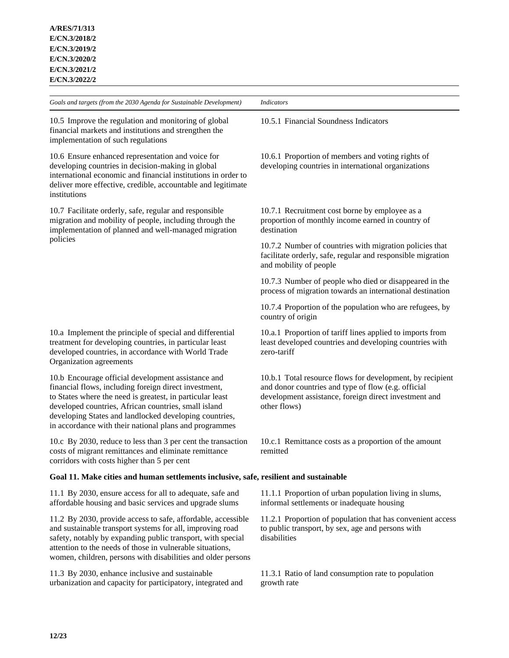*Goals and targets (from the 2030 Agenda for Sustainable Development) Indicators* 10.5 Improve the regulation and monitoring of global financial markets and institutions and strengthen the implementation of such regulations 10.5.1 Financial Soundness Indicators 10.6 Ensure enhanced representation and voice for developing countries in decision-making in global international economic and financial institutions in order to deliver more effective, credible, accountable and legitimate institutions 10.6.1 Proportion of members and voting rights of developing countries in international organizations 10.7 Facilitate orderly, safe, regular and responsible migration and mobility of people, including through the implementation of planned and well-managed migration policies 10.7.1 Recruitment cost borne by employee as a proportion of monthly income earned in country of destination 10.7.2 Number of countries with migration policies that facilitate orderly, safe, regular and responsible migration and mobility of people 10.7.3 Number of people who died or disappeared in the process of migration towards an international destination 10.7.4 Proportion of the population who are refugees, by country of origin 10.a Implement the principle of special and differential treatment for developing countries, in particular least developed countries, in accordance with World Trade Organization agreements 10.a.1 Proportion of tariff lines applied to imports from least developed countries and developing countries with zero-tariff 10.b Encourage official development assistance and financial flows, including foreign direct investment, to States where the need is greatest, in particular least developed countries, African countries, small island developing States and landlocked developing countries, in accordance with their national plans and programmes 10.b.1 Total resource flows for development, by recipient and donor countries and type of flow (e.g. official development assistance, foreign direct investment and other flows) 10.c By 2030, reduce to less than 3 per cent the transaction costs of migrant remittances and eliminate remittance corridors with costs higher than 5 per cent 10.c.1 Remittance costs as a proportion of the amount remitted **Goal 11. Make cities and human settlements inclusive, safe, resilient and sustainable** 11.1 By 2030, ensure access for all to adequate, safe and affordable housing and basic services and upgrade slums 11.1.1 Proportion of urban population living in slums, informal settlements or inadequate housing 11.2 By 2030, provide access to safe, affordable, accessible and sustainable transport systems for all, improving road safety, notably by expanding public transport, with special attention to the needs of those in vulnerable situations, women, children, persons with disabilities and older persons 11.2.1 Proportion of population that has convenient access to public transport, by sex, age and persons with disabilities

11.3 By 2030, enhance inclusive and sustainable urbanization and capacity for participatory, integrated and

11.3.1 Ratio of land consumption rate to population growth rate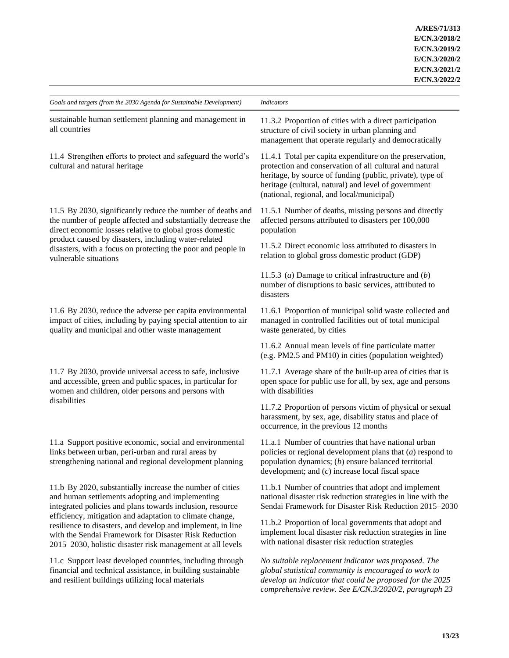| Goals and targets (from the 2030 Agenda for Sustainable Development)                                                                                                                                                                                                                                                                                                                                                        | <b>Indicators</b>                                                                                                                                                                                                                                                                     |
|-----------------------------------------------------------------------------------------------------------------------------------------------------------------------------------------------------------------------------------------------------------------------------------------------------------------------------------------------------------------------------------------------------------------------------|---------------------------------------------------------------------------------------------------------------------------------------------------------------------------------------------------------------------------------------------------------------------------------------|
| sustainable human settlement planning and management in<br>all countries                                                                                                                                                                                                                                                                                                                                                    | 11.3.2 Proportion of cities with a direct participation<br>structure of civil society in urban planning and<br>management that operate regularly and democratically                                                                                                                   |
| 11.4 Strengthen efforts to protect and safeguard the world's<br>cultural and natural heritage                                                                                                                                                                                                                                                                                                                               | 11.4.1 Total per capita expenditure on the preservation,<br>protection and conservation of all cultural and natural<br>heritage, by source of funding (public, private), type of<br>heritage (cultural, natural) and level of government<br>(national, regional, and local/municipal) |
| 11.5 By 2030, significantly reduce the number of deaths and<br>the number of people affected and substantially decrease the<br>direct economic losses relative to global gross domestic<br>product caused by disasters, including water-related<br>disasters, with a focus on protecting the poor and people in<br>vulnerable situations                                                                                    | 11.5.1 Number of deaths, missing persons and directly<br>affected persons attributed to disasters per 100,000<br>population                                                                                                                                                           |
|                                                                                                                                                                                                                                                                                                                                                                                                                             | 11.5.2 Direct economic loss attributed to disasters in<br>relation to global gross domestic product (GDP)                                                                                                                                                                             |
|                                                                                                                                                                                                                                                                                                                                                                                                                             | 11.5.3 (a) Damage to critical infrastructure and $(b)$<br>number of disruptions to basic services, attributed to<br>disasters                                                                                                                                                         |
| 11.6 By 2030, reduce the adverse per capita environmental<br>impact of cities, including by paying special attention to air<br>quality and municipal and other waste management                                                                                                                                                                                                                                             | 11.6.1 Proportion of municipal solid waste collected and<br>managed in controlled facilities out of total municipal<br>waste generated, by cities                                                                                                                                     |
|                                                                                                                                                                                                                                                                                                                                                                                                                             | 11.6.2 Annual mean levels of fine particulate matter<br>(e.g. PM2.5 and PM10) in cities (population weighted)                                                                                                                                                                         |
| 11.7 By 2030, provide universal access to safe, inclusive<br>and accessible, green and public spaces, in particular for<br>women and children, older persons and persons with<br>disabilities                                                                                                                                                                                                                               | 11.7.1 Average share of the built-up area of cities that is<br>open space for public use for all, by sex, age and persons<br>with disabilities                                                                                                                                        |
|                                                                                                                                                                                                                                                                                                                                                                                                                             | 11.7.2 Proportion of persons victim of physical or sexual<br>harassment, by sex, age, disability status and place of<br>occurrence, in the previous 12 months                                                                                                                         |
| 11.a Support positive economic, social and environmental<br>links between urban, peri-urban and rural areas by<br>strengthening national and regional development planning                                                                                                                                                                                                                                                  | 11.a.1 Number of countries that have national urban<br>policies or regional development plans that $(a)$ respond to<br>population dynamics; (b) ensure balanced territorial<br>development; and $(c)$ increase local fiscal space                                                     |
| 11.b By 2020, substantially increase the number of cities<br>and human settlements adopting and implementing<br>integrated policies and plans towards inclusion, resource<br>efficiency, mitigation and adaptation to climate change,<br>resilience to disasters, and develop and implement, in line<br>with the Sendai Framework for Disaster Risk Reduction<br>2015-2030, holistic disaster risk management at all levels | 11.b.1 Number of countries that adopt and implement<br>national disaster risk reduction strategies in line with the<br>Sendai Framework for Disaster Risk Reduction 2015-2030                                                                                                         |
|                                                                                                                                                                                                                                                                                                                                                                                                                             | 11.b.2 Proportion of local governments that adopt and<br>implement local disaster risk reduction strategies in line<br>with national disaster risk reduction strategies                                                                                                               |
| 11.c Support least developed countries, including through<br>financial and technical assistance, in building sustainable<br>and resilient buildings utilizing local materials                                                                                                                                                                                                                                               | No suitable replacement indicator was proposed. The<br>global statistical community is encouraged to work to<br>develop an indicator that could be proposed for the 2025<br>comprehensive review. See E/CN.3/2020/2, paragraph 23                                                     |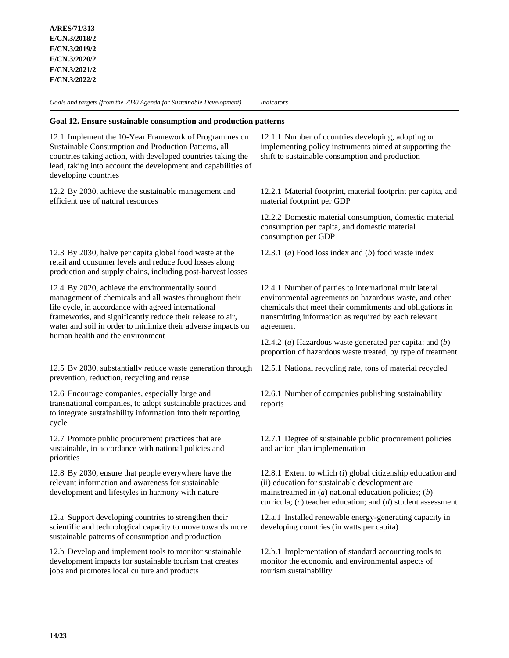### **Goal 12. Ensure sustainable consumption and production patterns**

12.1 Implement the 10-Year Framework of Programmes on Sustainable Consumption and Production Patterns, all countries taking action, with developed countries taking the lead, taking into account the development and capabilities of developing countries

12.2 By 2030, achieve the sustainable management and efficient use of natural resources

12.3 By 2030, halve per capita global food waste at the retail and consumer levels and reduce food losses along production and supply chains, including post-harvest losses

12.4 By 2020, achieve the environmentally sound management of chemicals and all wastes throughout their life cycle, in accordance with agreed international frameworks, and significantly reduce their release to air, water and soil in order to minimize their adverse impacts on human health and the environment

12.5 By 2030, substantially reduce waste generation through prevention, reduction, recycling and reuse

12.6 Encourage companies, especially large and transnational companies, to adopt sustainable practices and to integrate sustainability information into their reporting cycle

12.7 Promote public procurement practices that are sustainable, in accordance with national policies and priorities

12.8 By 2030, ensure that people everywhere have the relevant information and awareness for sustainable development and lifestyles in harmony with nature

12.a Support developing countries to strengthen their scientific and technological capacity to move towards more sustainable patterns of consumption and production

12.b Develop and implement tools to monitor sustainable development impacts for sustainable tourism that creates jobs and promotes local culture and products

12.1.1 Number of countries developing, adopting or implementing policy instruments aimed at supporting the shift to sustainable consumption and production

12.2.1 Material footprint, material footprint per capita, and material footprint per GDP

12.2.2 Domestic material consumption, domestic material consumption per capita, and domestic material consumption per GDP

12.3.1 (*a*) Food loss index and (*b*) food waste index

12.4.1 Number of parties to international multilateral environmental agreements on hazardous waste, and other chemicals that meet their commitments and obligations in transmitting information as required by each relevant agreement

12.4.2 (*a*) Hazardous waste generated per capita; and (*b*) proportion of hazardous waste treated, by type of treatment

12.5.1 National recycling rate, tons of material recycled

12.6.1 Number of companies publishing sustainability reports

12.7.1 Degree of sustainable public procurement policies and action plan implementation

12.8.1 Extent to which (i) global citizenship education and (ii) education for sustainable development are mainstreamed in (*a*) national education policies; (*b*) curricula; (*c*) teacher education; and (*d*) student assessment

12.a.1 Installed renewable energy-generating capacity in developing countries (in watts per capita)

12.b.1 Implementation of standard accounting tools to monitor the economic and environmental aspects of tourism sustainability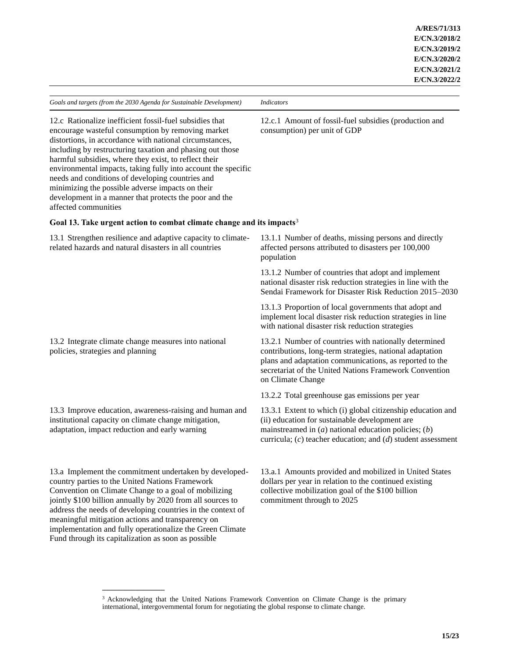12.c.1 Amount of fossil-fuel subsidies (production and consumption) per unit of GDP

12.c Rationalize inefficient fossil-fuel subsidies that encourage wasteful consumption by removing market distortions, in accordance with national circumstances, including by restructuring taxation and phasing out those harmful subsidies, where they exist, to reflect their environmental impacts, taking fully into account the specific needs and conditions of developing countries and minimizing the possible adverse impacts on their development in a manner that protects the poor and the affected communities

address the needs of developing countries in the context of meaningful mitigation actions and transparency on

implementation and fully operationalize the Green Climate

Fund through its capitalization as soon as possible

**\_\_\_\_\_\_\_\_\_\_\_\_\_\_\_**

### **Goal 13. Take urgent action to combat climate change and its impacts**<sup>3</sup>

| 13.1 Strengthen resilience and adaptive capacity to climate-<br>related hazards and natural disasters in all countries                                                                                                          | 13.1.1 Number of deaths, missing persons and directly<br>affected persons attributed to disasters per 100,000<br>population                                                                                                                                 |
|---------------------------------------------------------------------------------------------------------------------------------------------------------------------------------------------------------------------------------|-------------------------------------------------------------------------------------------------------------------------------------------------------------------------------------------------------------------------------------------------------------|
|                                                                                                                                                                                                                                 | 13.1.2 Number of countries that adopt and implement<br>national disaster risk reduction strategies in line with the<br>Sendai Framework for Disaster Risk Reduction 2015–2030                                                                               |
|                                                                                                                                                                                                                                 | 13.1.3 Proportion of local governments that adopt and<br>implement local disaster risk reduction strategies in line<br>with national disaster risk reduction strategies                                                                                     |
| 13.2 Integrate climate change measures into national<br>policies, strategies and planning                                                                                                                                       | 13.2.1 Number of countries with nationally determined<br>contributions, long-term strategies, national adaptation<br>plans and adaptation communications, as reported to the<br>secretariat of the United Nations Framework Convention<br>on Climate Change |
|                                                                                                                                                                                                                                 | 13.2.2 Total greenhouse gas emissions per year                                                                                                                                                                                                              |
| 13.3 Improve education, awareness-raising and human and<br>institutional capacity on climate change mitigation,<br>adaptation, impact reduction and early warning                                                               | 13.3.1 Extent to which (i) global citizenship education and<br>(ii) education for sustainable development are<br>mainstreamed in $(a)$ national education policies; $(b)$<br>curricula; $(c)$ teacher education; and $(d)$ student assessment               |
| 13.a Implement the commitment undertaken by developed-<br>country parties to the United Nations Framework<br>Convention on Climate Change to a goal of mobilizing<br>jointly \$100 billion annually by 2020 from all sources to | 13.a.1 Amounts provided and mobilized in United States<br>dollars per year in relation to the continued existing<br>collective mobilization goal of the \$100 billion<br>commitment through to 2025                                                         |

<sup>&</sup>lt;sup>3</sup> Acknowledging that the United Nations Framework Convention on Climate Change is the primary international, intergovernmental forum for negotiating the global response to climate change.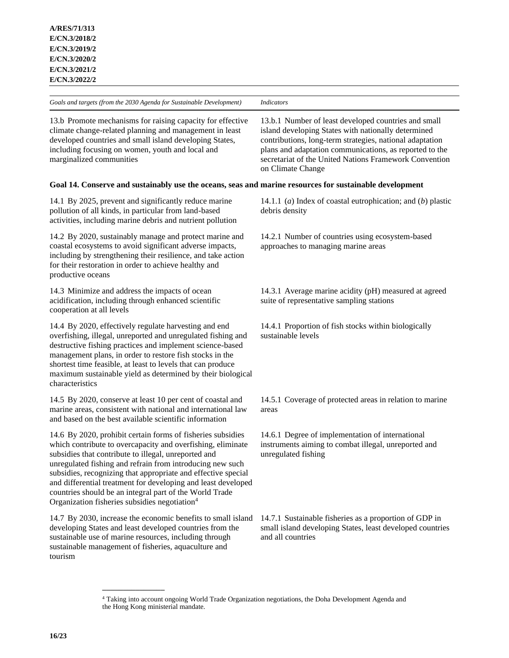| Goals and targets (from the 2030 Agenda for Sustainable Development)                                                                                                                                                                                                                                                                                                                                                                                                                                      | <i>Indicators</i>                                                                                                                                                                                                                                                                                                 |
|-----------------------------------------------------------------------------------------------------------------------------------------------------------------------------------------------------------------------------------------------------------------------------------------------------------------------------------------------------------------------------------------------------------------------------------------------------------------------------------------------------------|-------------------------------------------------------------------------------------------------------------------------------------------------------------------------------------------------------------------------------------------------------------------------------------------------------------------|
| 13.b Promote mechanisms for raising capacity for effective<br>climate change-related planning and management in least<br>developed countries and small island developing States,<br>including focusing on women, youth and local and<br>marginalized communities                                                                                                                                                                                                                                          | 13.b.1 Number of least developed countries and small<br>island developing States with nationally determined<br>contributions, long-term strategies, national adaptation<br>plans and adaptation communications, as reported to the<br>secretariat of the United Nations Framework Convention<br>on Climate Change |
| Goal 14. Conserve and sustainably use the oceans, seas and marine resources for sustainable development                                                                                                                                                                                                                                                                                                                                                                                                   |                                                                                                                                                                                                                                                                                                                   |
| 14.1 By 2025, prevent and significantly reduce marine<br>pollution of all kinds, in particular from land-based<br>activities, including marine debris and nutrient pollution                                                                                                                                                                                                                                                                                                                              | 14.1.1 (a) Index of coastal eutrophication; and $(b)$ plastic<br>debris density                                                                                                                                                                                                                                   |
| 14.2 By 2020, sustainably manage and protect marine and<br>coastal ecosystems to avoid significant adverse impacts,<br>including by strengthening their resilience, and take action<br>for their restoration in order to achieve healthy and<br>productive oceans                                                                                                                                                                                                                                         | 14.2.1 Number of countries using ecosystem-based<br>approaches to managing marine areas                                                                                                                                                                                                                           |
| 14.3 Minimize and address the impacts of ocean<br>acidification, including through enhanced scientific<br>cooperation at all levels                                                                                                                                                                                                                                                                                                                                                                       | 14.3.1 Average marine acidity (pH) measured at agreed<br>suite of representative sampling stations                                                                                                                                                                                                                |
| 14.4 By 2020, effectively regulate harvesting and end<br>overfishing, illegal, unreported and unregulated fishing and<br>destructive fishing practices and implement science-based<br>management plans, in order to restore fish stocks in the<br>shortest time feasible, at least to levels that can produce<br>maximum sustainable yield as determined by their biological<br>characteristics                                                                                                           | 14.4.1 Proportion of fish stocks within biologically<br>sustainable levels                                                                                                                                                                                                                                        |
| 14.5 By 2020, conserve at least 10 per cent of coastal and<br>marine areas, consistent with national and international law<br>and based on the best available scientific information                                                                                                                                                                                                                                                                                                                      | 14.5.1 Coverage of protected areas in relation to marine<br>areas                                                                                                                                                                                                                                                 |
| 14.6 By 2020, prohibit certain forms of fisheries subsidies<br>which contribute to overcapacity and overfishing, eliminate<br>subsidies that contribute to illegal, unreported and<br>unregulated fishing and refrain from introducing new such<br>subsidies, recognizing that appropriate and effective special<br>and differential treatment for developing and least developed<br>countries should be an integral part of the World Trade<br>Organization fisheries subsidies negotiation <sup>4</sup> | 14.6.1 Degree of implementation of international<br>instruments aiming to combat illegal, unreported and<br>unregulated fishing                                                                                                                                                                                   |
| 14.7 By 2030, increase the economic benefits to small island<br>developing States and least developed countries from the<br>sustainable use of marine resources, including through<br>sustainable management of fisheries, aquaculture and<br>tourism                                                                                                                                                                                                                                                     | 14.7.1 Sustainable fisheries as a proportion of GDP in<br>small island developing States, least developed countries<br>and all countries                                                                                                                                                                          |
| <sup>4</sup> Taking into account ongoing World Trade Organization negotiations, the Doha Development Agenda and<br>the Hong Kong ministerial mandate.                                                                                                                                                                                                                                                                                                                                                     |                                                                                                                                                                                                                                                                                                                   |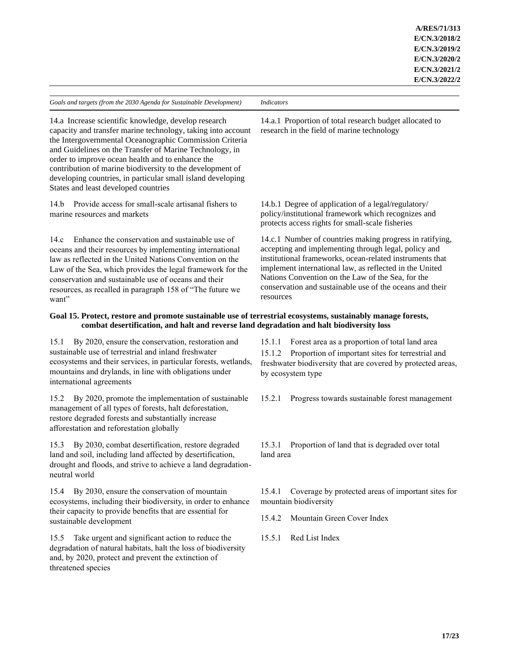| Goals and targets (from the 2030 Agenda for Sustainable Development)                                                                                                                                                                                                                                                                                                                                                                                               | <i>Indicators</i>                                                                                                                                                                                                                                                                                                                                                     |
|--------------------------------------------------------------------------------------------------------------------------------------------------------------------------------------------------------------------------------------------------------------------------------------------------------------------------------------------------------------------------------------------------------------------------------------------------------------------|-----------------------------------------------------------------------------------------------------------------------------------------------------------------------------------------------------------------------------------------------------------------------------------------------------------------------------------------------------------------------|
| 14.a Increase scientific knowledge, develop research<br>capacity and transfer marine technology, taking into account<br>the Intergovernmental Oceanographic Commission Criteria<br>and Guidelines on the Transfer of Marine Technology, in<br>order to improve ocean health and to enhance the<br>contribution of marine biodiversity to the development of<br>developing countries, in particular small island developing<br>States and least developed countries | 14.a.1 Proportion of total research budget allocated to<br>research in the field of marine technology                                                                                                                                                                                                                                                                 |
| Provide access for small-scale artisanal fishers to<br>14.b<br>marine resources and markets                                                                                                                                                                                                                                                                                                                                                                        | 14.b.1 Degree of application of a legal/regulatory/<br>policy/institutional framework which recognizes and<br>protects access rights for small-scale fisheries                                                                                                                                                                                                        |
| Enhance the conservation and sustainable use of<br>14.c<br>oceans and their resources by implementing international<br>law as reflected in the United Nations Convention on the<br>Law of the Sea, which provides the legal framework for the<br>conservation and sustainable use of oceans and their<br>resources, as recalled in paragraph 158 of "The future we<br>want"                                                                                        | 14.c.1 Number of countries making progress in ratifying,<br>accepting and implementing through legal, policy and<br>institutional frameworks, ocean-related instruments that<br>implement international law, as reflected in the United<br>Nations Convention on the Law of the Sea, for the<br>conservation and sustainable use of the oceans and their<br>resources |
| Goal 15. Protect, restore and promote sustainable use of terrestrial ecosystems, sustainably manage forests,<br>combat desertification, and halt and reverse land degradation and halt biodiversity loss                                                                                                                                                                                                                                                           |                                                                                                                                                                                                                                                                                                                                                                       |

15.1 By 2020, ensure the conservation, restoration and sustainable use of terrestrial and inland freshwater ecosystems and their services, in particular forests, wetlands, mountains and drylands, in line with obligations under international agreements

15.2 By 2020, promote the implementation of sustainable management of all types of forests, halt deforestation, restore degraded forests and substantially increase afforestation and reforestation globally

15.3 By 2030, combat desertification, restore degraded land and soil, including land affected by desertification, drought and floods, and strive to achieve a land degradationneutral world

15.4 By 2030, ensure the conservation of mountain ecosystems, including their biodiversity, in order to enhance their capacity to provide benefits that are essential for sustainable development

15.5 Take urgent and significant action to reduce the degradation of natural habitats, halt the loss of biodiversity and, by 2020, protect and prevent the extinction of threatened species

15.1.1 Forest area as a proportion of total land area

15.1.2 Proportion of important sites for terrestrial and freshwater biodiversity that are covered by protected areas, by ecosystem type

15.2.1 Progress towards sustainable forest management

15.3.1 Proportion of land that is degraded over total land area

15.4.1 Coverage by protected areas of important sites for mountain biodiversity

15.4.2 Mountain Green Cover Index

15.5.1 Red List Index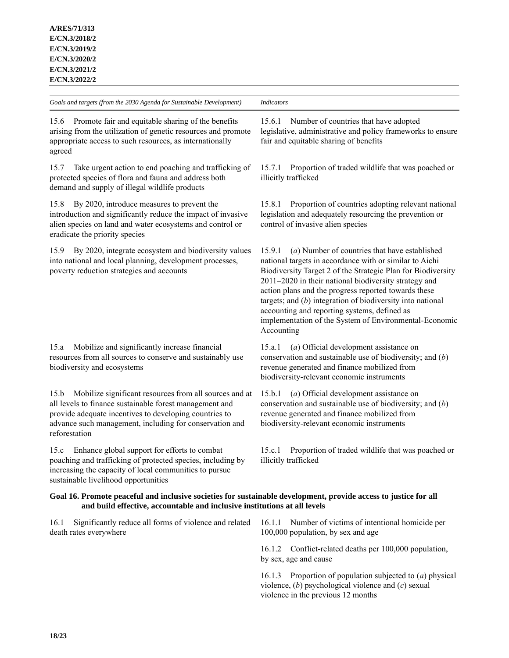| Goals and targets (from the 2030 Agenda for Sustainable Development)                                                                                                                                                                                            | <b>Indicators</b>                                                                                                                                                                                                                                                                                                                                                                                                                                                                           |
|-----------------------------------------------------------------------------------------------------------------------------------------------------------------------------------------------------------------------------------------------------------------|---------------------------------------------------------------------------------------------------------------------------------------------------------------------------------------------------------------------------------------------------------------------------------------------------------------------------------------------------------------------------------------------------------------------------------------------------------------------------------------------|
| 15.6<br>Promote fair and equitable sharing of the benefits<br>arising from the utilization of genetic resources and promote<br>appropriate access to such resources, as internationally<br>agreed                                                               | Number of countries that have adopted<br>15.6.1<br>legislative, administrative and policy frameworks to ensure<br>fair and equitable sharing of benefits                                                                                                                                                                                                                                                                                                                                    |
| Take urgent action to end poaching and trafficking of<br>15.7<br>protected species of flora and fauna and address both<br>demand and supply of illegal wildlife products                                                                                        | Proportion of traded wildlife that was poached or<br>15.7.1<br>illicitly trafficked                                                                                                                                                                                                                                                                                                                                                                                                         |
| By 2020, introduce measures to prevent the<br>15.8<br>introduction and significantly reduce the impact of invasive<br>alien species on land and water ecosystems and control or<br>eradicate the priority species                                               | Proportion of countries adopting relevant national<br>15.8.1<br>legislation and adequately resourcing the prevention or<br>control of invasive alien species                                                                                                                                                                                                                                                                                                                                |
| By 2020, integrate ecosystem and biodiversity values<br>15.9<br>into national and local planning, development processes,<br>poverty reduction strategies and accounts                                                                                           | (a) Number of countries that have established<br>15.9.1<br>national targets in accordance with or similar to Aichi<br>Biodiversity Target 2 of the Strategic Plan for Biodiversity<br>2011-2020 in their national biodiversity strategy and<br>action plans and the progress reported towards these<br>targets; and $(b)$ integration of biodiversity into national<br>accounting and reporting systems, defined as<br>implementation of the System of Environmental-Economic<br>Accounting |
| Mobilize and significantly increase financial<br>15.a<br>resources from all sources to conserve and sustainably use<br>biodiversity and ecosystems                                                                                                              | (a) Official development assistance on<br>15.a.l<br>conservation and sustainable use of biodiversity; and $(b)$<br>revenue generated and finance mobilized from<br>biodiversity-relevant economic instruments                                                                                                                                                                                                                                                                               |
| Mobilize significant resources from all sources and at<br>15.b<br>all levels to finance sustainable forest management and<br>provide adequate incentives to developing countries to<br>advance such management, including for conservation and<br>reforestation | 15.b.1<br>(a) Official development assistance on<br>conservation and sustainable use of biodiversity; and $(b)$<br>revenue generated and finance mobilized from<br>biodiversity-relevant economic instruments                                                                                                                                                                                                                                                                               |
| Enhance global support for efforts to combat<br>15.c<br>poaching and trafficking of protected species, including by<br>increasing the capacity of local communities to pursue<br>sustainable livelihood opportunities                                           | Proportion of traded wildlife that was poached or<br>15.c.1<br>illicitly trafficked                                                                                                                                                                                                                                                                                                                                                                                                         |
| Goal 16. Promote peaceful and inclusive societies for sustainable development, provide access to justice for all<br>and build effective, accountable and inclusive institutions at all levels                                                                   |                                                                                                                                                                                                                                                                                                                                                                                                                                                                                             |
| Significantly reduce all forms of violence and related<br>16.1<br>death rates everywhere                                                                                                                                                                        | 16.1.1<br>Number of victims of intentional homicide per<br>100,000 population, by sex and age                                                                                                                                                                                                                                                                                                                                                                                               |
|                                                                                                                                                                                                                                                                 | Conflict-related deaths per 100,000 population,<br>16.1.2<br>by sex, age and cause                                                                                                                                                                                                                                                                                                                                                                                                          |

16.1.3 Proportion of population subjected to (*a*) physical violence, (*b*) psychological violence and (*c*) sexual violence in the previous 12 months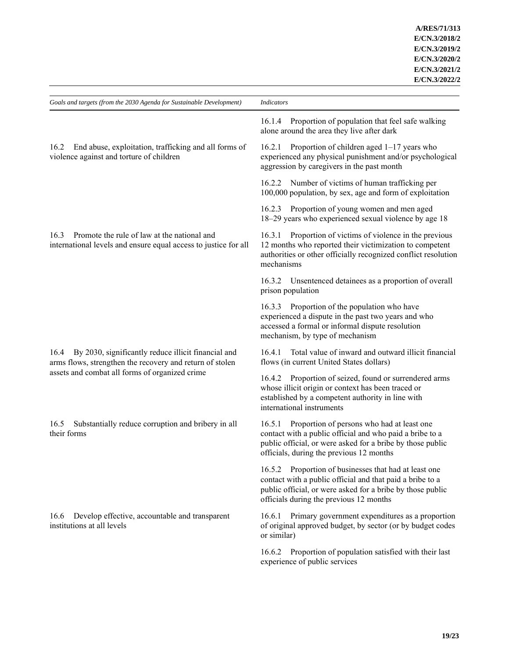| Goals and targets (from the 2030 Agenda for Sustainable Development)                                                    | <b>Indicators</b>                                                                                                                                                                                                           |
|-------------------------------------------------------------------------------------------------------------------------|-----------------------------------------------------------------------------------------------------------------------------------------------------------------------------------------------------------------------------|
|                                                                                                                         |                                                                                                                                                                                                                             |
|                                                                                                                         | Proportion of population that feel safe walking<br>16.1.4<br>alone around the area they live after dark                                                                                                                     |
| End abuse, exploitation, trafficking and all forms of<br>16.2<br>violence against and torture of children               | Proportion of children aged $1-17$ years who<br>16.2.1<br>experienced any physical punishment and/or psychological<br>aggression by caregivers in the past month                                                            |
|                                                                                                                         | 16.2.2 Number of victims of human trafficking per<br>100,000 population, by sex, age and form of exploitation                                                                                                               |
|                                                                                                                         | 16.2.3 Proportion of young women and men aged<br>18-29 years who experienced sexual violence by age 18                                                                                                                      |
| Promote the rule of law at the national and<br>16.3<br>international levels and ensure equal access to justice for all  | 16.3.1 Proportion of victims of violence in the previous<br>12 months who reported their victimization to competent<br>authorities or other officially recognized conflict resolution<br>mechanisms                         |
|                                                                                                                         | 16.3.2 Unsentenced detainees as a proportion of overall<br>prison population                                                                                                                                                |
|                                                                                                                         | 16.3.3 Proportion of the population who have<br>experienced a dispute in the past two years and who<br>accessed a formal or informal dispute resolution<br>mechanism, by type of mechanism                                  |
| By 2030, significantly reduce illicit financial and<br>16.4<br>arms flows, strengthen the recovery and return of stolen | Total value of inward and outward illicit financial<br>16.4.1<br>flows (in current United States dollars)                                                                                                                   |
| assets and combat all forms of organized crime                                                                          | 16.4.2 Proportion of seized, found or surrendered arms<br>whose illicit origin or context has been traced or<br>established by a competent authority in line with<br>international instruments                              |
| Substantially reduce corruption and bribery in all<br>16.5<br>their forms                                               | 16.5.1 Proportion of persons who had at least one<br>contact with a public official and who paid a bribe to a<br>public official, or were asked for a bribe by those public<br>officials, during the previous 12 months     |
|                                                                                                                         | 16.5.2 Proportion of businesses that had at least one<br>contact with a public official and that paid a bribe to a<br>public official, or were asked for a bribe by those public<br>officials during the previous 12 months |
| Develop effective, accountable and transparent<br>16.6<br>institutions at all levels                                    | Primary government expenditures as a proportion<br>16.6.1<br>of original approved budget, by sector (or by budget codes<br>or similar)                                                                                      |
|                                                                                                                         | 16.6.2 Proportion of population satisfied with their last<br>experience of public services                                                                                                                                  |
|                                                                                                                         |                                                                                                                                                                                                                             |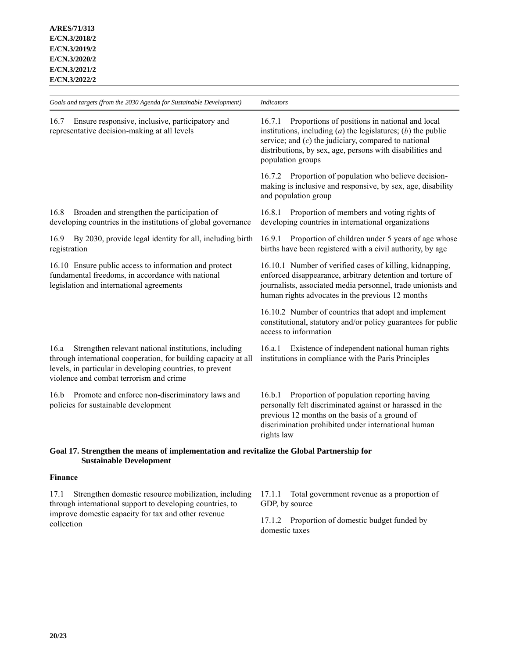| Goals and targets (from the 2030 Agenda for Sustainable Development)                                                                                                                                                                    | <b>Indicators</b>                                                                                                                                                                                                                                                        |
|-----------------------------------------------------------------------------------------------------------------------------------------------------------------------------------------------------------------------------------------|--------------------------------------------------------------------------------------------------------------------------------------------------------------------------------------------------------------------------------------------------------------------------|
| Ensure responsive, inclusive, participatory and<br>16.7<br>representative decision-making at all levels                                                                                                                                 | Proportions of positions in national and local<br>16.7.1<br>institutions, including $(a)$ the legislatures; $(b)$ the public<br>service; and $(c)$ the judiciary, compared to national<br>distributions, by sex, age, persons with disabilities and<br>population groups |
|                                                                                                                                                                                                                                         | 16.7.2 Proportion of population who believe decision-<br>making is inclusive and responsive, by sex, age, disability<br>and population group                                                                                                                             |
| Broaden and strengthen the participation of<br>16.8<br>developing countries in the institutions of global governance                                                                                                                    | Proportion of members and voting rights of<br>16.8.1<br>developing countries in international organizations                                                                                                                                                              |
| By 2030, provide legal identity for all, including birth<br>16.9<br>registration                                                                                                                                                        | Proportion of children under 5 years of age whose<br>16.9.1<br>births have been registered with a civil authority, by age                                                                                                                                                |
| 16.10 Ensure public access to information and protect<br>fundamental freedoms, in accordance with national<br>legislation and international agreements                                                                                  | 16.10.1 Number of verified cases of killing, kidnapping,<br>enforced disappearance, arbitrary detention and torture of<br>journalists, associated media personnel, trade unionists and<br>human rights advocates in the previous 12 months                               |
|                                                                                                                                                                                                                                         | 16.10.2 Number of countries that adopt and implement<br>constitutional, statutory and/or policy guarantees for public<br>access to information                                                                                                                           |
| Strengthen relevant national institutions, including<br>16.a<br>through international cooperation, for building capacity at all<br>levels, in particular in developing countries, to prevent<br>violence and combat terrorism and crime | Existence of independent national human rights<br>16.a.1<br>institutions in compliance with the Paris Principles                                                                                                                                                         |
| Promote and enforce non-discriminatory laws and<br>16.b<br>policies for sustainable development                                                                                                                                         | Proportion of population reporting having<br>16.b.1<br>personally felt discriminated against or harassed in the<br>previous 12 months on the basis of a ground of<br>discrimination prohibited under international human<br>rights law                                   |
| Goal 17. Strengthen the means of implementation and revitalize the Global Partnership for<br><b>Sustainable Development</b>                                                                                                             |                                                                                                                                                                                                                                                                          |

# **Finance**

17.1 Strengthen domestic resource mobilization, including through international support to developing countries, to improve domestic capacity for tax and other revenue collection

17.1.1 Total government revenue as a proportion of GDP, by source

17.1.2 Proportion of domestic budget funded by domestic taxes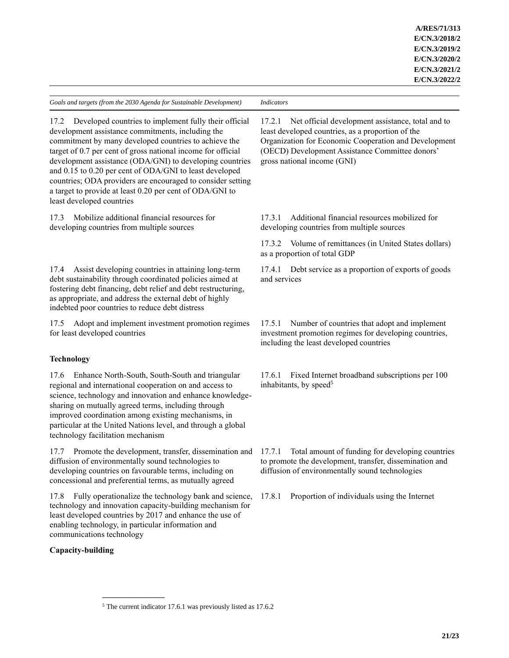| Goals and targets (from the 2030 Agenda for Sustainable Development)                                                                                                                                                                                                                                                                                                                                                                                                                                                       | <b>Indicators</b>                                                                                                                                                                                                                                           |
|----------------------------------------------------------------------------------------------------------------------------------------------------------------------------------------------------------------------------------------------------------------------------------------------------------------------------------------------------------------------------------------------------------------------------------------------------------------------------------------------------------------------------|-------------------------------------------------------------------------------------------------------------------------------------------------------------------------------------------------------------------------------------------------------------|
| Developed countries to implement fully their official<br>17.2<br>development assistance commitments, including the<br>commitment by many developed countries to achieve the<br>target of 0.7 per cent of gross national income for official<br>development assistance (ODA/GNI) to developing countries<br>and 0.15 to 0.20 per cent of ODA/GNI to least developed<br>countries; ODA providers are encouraged to consider setting<br>a target to provide at least 0.20 per cent of ODA/GNI to<br>least developed countries | Net official development assistance, total and to<br>17.2.1<br>least developed countries, as a proportion of the<br>Organization for Economic Cooperation and Development<br>(OECD) Development Assistance Committee donors'<br>gross national income (GNI) |
| Mobilize additional financial resources for<br>17.3<br>developing countries from multiple sources                                                                                                                                                                                                                                                                                                                                                                                                                          | Additional financial resources mobilized for<br>17.3.1<br>developing countries from multiple sources                                                                                                                                                        |
|                                                                                                                                                                                                                                                                                                                                                                                                                                                                                                                            | 17.3.2 Volume of remittances (in United States dollars)<br>as a proportion of total GDP                                                                                                                                                                     |
| Assist developing countries in attaining long-term<br>17.4<br>debt sustainability through coordinated policies aimed at<br>fostering debt financing, debt relief and debt restructuring,<br>as appropriate, and address the external debt of highly<br>indebted poor countries to reduce debt distress                                                                                                                                                                                                                     | Debt service as a proportion of exports of goods<br>17.4.1<br>and services                                                                                                                                                                                  |
| Adopt and implement investment promotion regimes<br>17.5<br>for least developed countries                                                                                                                                                                                                                                                                                                                                                                                                                                  | Number of countries that adopt and implement<br>17.5.1<br>investment promotion regimes for developing countries,<br>including the least developed countries                                                                                                 |
| <b>Technology</b>                                                                                                                                                                                                                                                                                                                                                                                                                                                                                                          |                                                                                                                                                                                                                                                             |
| Enhance North-South, South-South and triangular<br>17.6<br>regional and international cooperation on and access to<br>science, technology and innovation and enhance knowledge-<br>sharing on mutually agreed terms, including through<br>improved coordination among existing mechanisms, in<br>particular at the United Nations level, and through a global<br>technology facilitation mechanism                                                                                                                         | Fixed Internet broadband subscriptions per 100<br>17.6.1<br>inhabitants, by speed <sup>5</sup>                                                                                                                                                              |
| 17.7 Promote the development, transfer, dissemination and 17.7.1<br>diffusion of environmentally sound technologies to<br>developing countries on favourable terms, including on<br>concessional and preferential terms, as mutually agreed                                                                                                                                                                                                                                                                                | Total amount of funding for developing countries<br>to promote the development, transfer, dissemination and<br>diffusion of environmentally sound technologies                                                                                              |
| Fully operationalize the technology bank and science,<br>17.8<br>technology and innovation capacity-building mechanism for<br>least developed countries by 2017 and enhance the use of<br>enabling technology, in particular information and<br>communications technology                                                                                                                                                                                                                                                  | Proportion of individuals using the Internet<br>17.8.1                                                                                                                                                                                                      |
| Capacity-building                                                                                                                                                                                                                                                                                                                                                                                                                                                                                                          |                                                                                                                                                                                                                                                             |
|                                                                                                                                                                                                                                                                                                                                                                                                                                                                                                                            |                                                                                                                                                                                                                                                             |

 $<sup>5</sup>$  The current indicator 17.6.1 was previously listed as 17.6.2</sup>

**\_\_\_\_\_\_\_\_\_\_\_\_\_\_\_**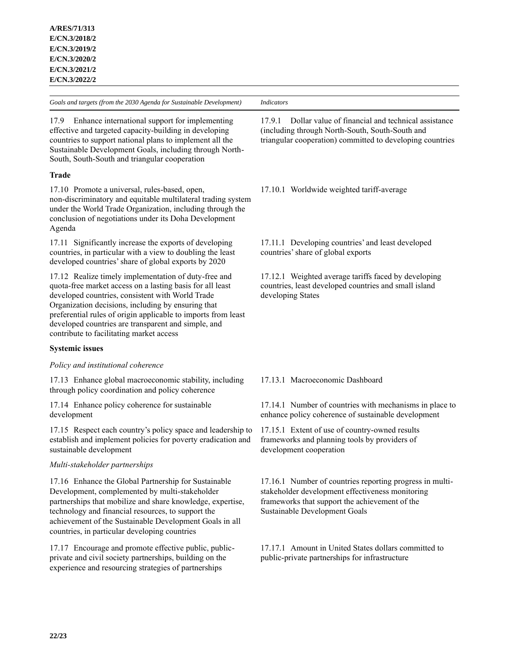17.9 Enhance international support for implementing effective and targeted capacity-building in developing countries to support national plans to implement all the Sustainable Development Goals, including through North-South, South-South and triangular cooperation

# **Trade**

17.10 Promote a universal, rules-based, open, non-discriminatory and equitable multilateral trading system under the World Trade Organization, including through the conclusion of negotiations under its Doha Development Agenda

17.11 Significantly increase the exports of developing countries, in particular with a view to doubling the least developed countries' share of global exports by 2020

17.12 Realize timely implementation of duty-free and quota-free market access on a lasting basis for all least developed countries, consistent with World Trade Organization decisions, including by ensuring that preferential rules of origin applicable to imports from least developed countries are transparent and simple, and contribute to facilitating market access

# **Systemic issues**

# *Policy and institutional coherence*

17.13 Enhance global macroeconomic stability, including through policy coordination and policy coherence

17.14 Enhance policy coherence for sustainable development

17.15 Respect each country's policy space and leadership to establish and implement policies for poverty eradication and sustainable development

# *Multi-stakeholder partnerships*

17.16 Enhance the Global Partnership for Sustainable Development, complemented by multi-stakeholder partnerships that mobilize and share knowledge, expertise, technology and financial resources, to support the achievement of the Sustainable Development Goals in all countries, in particular developing countries

17.17 Encourage and promote effective public, publicprivate and civil society partnerships, building on the experience and resourcing strategies of partnerships

17.9.1 Dollar value of financial and technical assistance (including through North-South, South-South and triangular cooperation) committed to developing countries

17.10.1 Worldwide weighted tariff-average

17.11.1 Developing countries' and least developed countries' share of global exports

17.12.1 Weighted average tariffs faced by developing countries, least developed countries and small island developing States

# 17.13.1 Macroeconomic Dashboard

17.14.1 Number of countries with mechanisms in place to enhance policy coherence of sustainable development

17.15.1 Extent of use of country-owned results frameworks and planning tools by providers of development cooperation

17.16.1 Number of countries reporting progress in multistakeholder development effectiveness monitoring frameworks that support the achievement of the Sustainable Development Goals

17.17.1 Amount in United States dollars committed to public-private partnerships for infrastructure